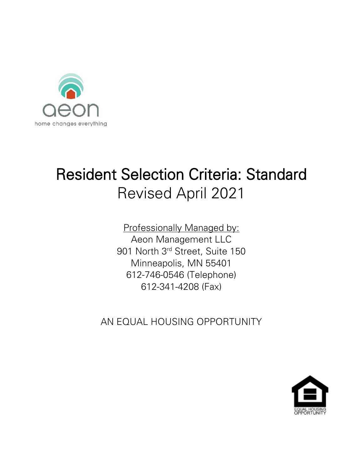

# Resident Selection Criteria: Standard Revised April 2021

Professionally Managed by: Aeon Management LLC 901 North 3rd Street, Suite 150 Minneapolis, MN 55401 612-746-0546 (Telephone) 612-341-4208 (Fax)

AN EQUAL HOUSING OPPORTUNITY

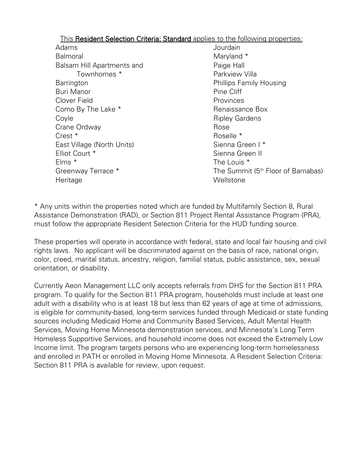This Resident Selection Criteria: Standard applies to the following properties:

Adams Balmoral Balsam Hill Apartments and Townhomes \* **Barrington** Buri Manor Clover Field Como By The Lake \* Coyle Crane Ordway Crest \* East Village (North Units) Elliot Court \* Elms \* Greenway Terrace \* **Heritage** 

Jourdain Maryland \* Paige Hall Parkview Villa Phillips Family Housing Pine Cliff Provinces Renaissance Box Ripley Gardens Rose Roselle \* Sienna Green I \* Sienna Green II The Louis  $*$ The Summit (5<sup>th</sup> Floor of Barnabas) **Wellstone** 

\* Any units within the properties noted which are funded by Multifamily Section 8, Rural Assistance Demonstration (RAD), or Section 811 Project Rental Assistance Program (PRA), must follow the appropriate Resident Selection Criteria for the HUD funding source.

These properties will operate in accordance with federal, state and local fair housing and civil rights laws. No applicant will be discriminated against on the basis of race, national origin, color, creed, marital status, ancestry, religion, familial status, public assistance, sex, sexual orientation, or disability.

Currently Aeon Management LLC only accepts referrals from DHS for the Section 811 PRA program. To qualify for the Section 811 PRA program, households must include at least one adult with a disability who is at least 18 but less than 62 years of age at time of admissions, is eligible for community-based, long-term services funded through Medicaid or state funding sources including Medicaid Home and Community Based Services, Adult Mental Health Services, Moving Home Minnesota demonstration services, and Minnesota's Long Term Homeless Supportive Services, and household income does not exceed the Extremely Low Income limit. The program targets persons who are experiencing long-term homelessness and enrolled in PATH or enrolled in Moving Home Minnesota. A Resident Selection Criteria: Section 811 PRA is available for review, upon request.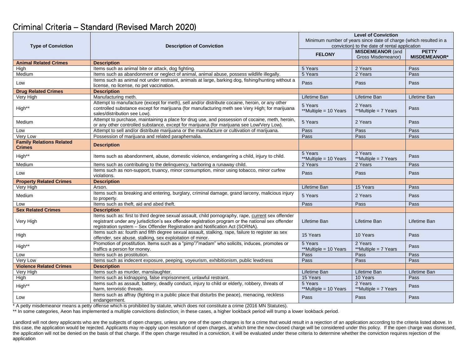## Criminal Criteria – Standard (Revised March 2020)

| <b>Type of Conviction</b>                        | <b>Description of Conviction</b>                                                                                                                                                                                                                                                          | <b>Level of Conviction</b>                                                                                         |                                 |                     |
|--------------------------------------------------|-------------------------------------------------------------------------------------------------------------------------------------------------------------------------------------------------------------------------------------------------------------------------------------------|--------------------------------------------------------------------------------------------------------------------|---------------------------------|---------------------|
|                                                  |                                                                                                                                                                                                                                                                                           | Minimum number of years since date of charge (which resulted in a<br>conviction) to the date of rental application |                                 |                     |
|                                                  |                                                                                                                                                                                                                                                                                           | <b>FELONY</b>                                                                                                      | <b>MISDEMEANOR (and</b>         | <b>PETTY</b>        |
|                                                  |                                                                                                                                                                                                                                                                                           |                                                                                                                    | Gross Misdemeanor)              | <b>MISDEMEANOR*</b> |
| <b>Animal Related Crimes</b>                     | <b>Description</b>                                                                                                                                                                                                                                                                        |                                                                                                                    |                                 |                     |
| High                                             | Items such as animal bite or attack, dog fighting.                                                                                                                                                                                                                                        | 5 Years                                                                                                            | 2 Years                         | Pass                |
| Medium                                           | Items such as abandonment or neglect of animal, animal abuse, possess wildlife illegally.                                                                                                                                                                                                 | 5 Years                                                                                                            | 2 Years                         | Pass                |
| Low                                              | Items such as animal not under restraint, animals at large, barking dog, fishing/hunting without a<br>license, no license, no pet vaccination.                                                                                                                                            | Pass                                                                                                               | Pass                            | Pass                |
| <b>Drug Related Crimes</b>                       | <b>Description</b>                                                                                                                                                                                                                                                                        |                                                                                                                    |                                 |                     |
| Very High                                        | Manufacturing meth.                                                                                                                                                                                                                                                                       | Lifetime Ban                                                                                                       | Lifetime Ban                    | Lifetime Ban        |
| High**                                           | Attempt to manufacture (except for meth), sell and/or distribute cocaine, heroin, or any other<br>controlled substance except for marijuana (for manufacturing meth see Very High; for marijuana<br>sales/distribution see Low).                                                          | 5 Years<br>**Multiple = 10 Years                                                                                   | 2 Years<br>**Multiple = 7 Years | Pass                |
| Medium                                           | Attempt to purchase, maintaining a place for drug use, and possession of cocaine, meth, heroin,<br>or any other controlled substance, except for marijuana (for marijuana see Low/Very Low).                                                                                              | 5 Years                                                                                                            | 2 Years                         | Pass                |
| Low                                              | Attempt to sell and/or distribute marijuana or the manufacture or cultivation of marijuana.                                                                                                                                                                                               | Pass                                                                                                               | Pass                            | Pass                |
| Very Low                                         | Possession of marijuana and related paraphernalia.                                                                                                                                                                                                                                        | Pass                                                                                                               | Pass                            | Pass                |
| <b>Family Relations Related</b><br><b>Crimes</b> | <b>Description</b>                                                                                                                                                                                                                                                                        |                                                                                                                    |                                 |                     |
| High**                                           | Items such as abandonment, abuse, domestic violence, endangering a child, injury to child.                                                                                                                                                                                                | 5 Years<br>**Multiple = 10 Years                                                                                   | 2 Years<br>**Multiple = 7 Years | Pass                |
| Medium                                           | Items such as contributing to the delinquency, harboring a runaway child.                                                                                                                                                                                                                 | 2 Years                                                                                                            | 2 Years                         | Pass                |
| Low                                              | Items such as non-support, truancy, minor consumption, minor using tobacco, minor curfew<br>violations.                                                                                                                                                                                   | Pass                                                                                                               | Pass                            | Pass                |
| <b>Property Related Crimes</b>                   | <b>Description</b>                                                                                                                                                                                                                                                                        |                                                                                                                    |                                 |                     |
| Very High                                        | Arson.                                                                                                                                                                                                                                                                                    | Lifetime Ban                                                                                                       | 15 Years                        | Pass                |
| Medium                                           | Items such as breaking and entering, burglary, criminal damage, grand larceny, malicious injury<br>to property.                                                                                                                                                                           | 5 Years                                                                                                            | 2 Years                         | Pass                |
| Low                                              | Items such as theft, aid and abed theft.                                                                                                                                                                                                                                                  | Pass                                                                                                               | Pass                            | Pass                |
| <b>Sex Related Crimes</b>                        | <b>Description</b>                                                                                                                                                                                                                                                                        |                                                                                                                    |                                 |                     |
| Very High                                        | Items such as: first to third degree sexual assault, child pornography, rape, current sex offender<br>registrant under any jurisdiction's sex offender registration program or the national sex offender<br>registration system - Sex Offender Registration and Notification Act (SORNA). | Lifetime Ban                                                                                                       | Lifetime Ban                    | Lifetime Ban        |
| High                                             | Items such as: fourth and fifth degree sexual assault, stalking, rape, failure to register as sex<br>offender, sex abuse, stalking, sex exploitation of minor.                                                                                                                            | 15 Years                                                                                                           | 10 Years                        | Pass                |
| High**                                           | Promotion of prostitution. Items such as a "pimp"/"madam" who solicits, induces, promotes or<br>traffics a person for money.                                                                                                                                                              | 5 Years<br>**Multiple = 10 Years                                                                                   | 2 Years<br>**Multiple = 7 Years | Pass                |
| Low                                              | Items such as prostitution.                                                                                                                                                                                                                                                               | Pass                                                                                                               | Pass                            | Pass                |
| Very Low                                         | Items such as indecent exposure, peeping, voyeurism, exhibitionism, public lewdness                                                                                                                                                                                                       | Pass                                                                                                               | Pass                            | Pass                |
| <b>Violence Related Crimes</b>                   | <b>Description</b>                                                                                                                                                                                                                                                                        |                                                                                                                    |                                 |                     |
| Very High                                        | Items such as murder, manslaughter.                                                                                                                                                                                                                                                       | Lifetime Ban                                                                                                       | Lifetime Ban                    | Lifetime Ban        |
| High                                             | Items such as kidnapping, false imprisonment, unlawful restraint.                                                                                                                                                                                                                         | 15 Years                                                                                                           | 10 Years                        | Pass                |
| High**                                           | Items such as assault, battery, deadly conduct, injury to child or elderly, robbery, threats of<br>harm, terroristic threats.                                                                                                                                                             | 5 Years<br>**Multiple = 10 Years                                                                                   | 2 Years<br>**Multiple = 7 Years | Pass                |
| Low                                              | Items such as affray (fighting in a public place that disturbs the peace), menacing, reckless<br>endangerment.                                                                                                                                                                            | Pass                                                                                                               | Pass                            | Pass                |

\* A petty misdemeanor means a petty offense which is prohibited by statute, which does not constitute a crime (2016 MN Statutes).

\*\* In some categories, Aeon has implemented a multiple convictions distinction; in these cases, a higher lookback period will trump a lower lookback period.

Landlord will not deny applicants who are the subjects of open charges, unless any one of the open charges is for a crime that would result in a rejection of an application according to the criteria listed above. In Tanarold minion and, perpending minion are included to experiencial goes, and the now-charges, at which time the now-closed charge will be considered under this policy. If the open charge was dismissed, this case, the appl the application will not be denied on the basis of that charge. If the open charge resulted in a conviction, it will be evaluated under these criteria to determine whether the conviction requires rejection of the application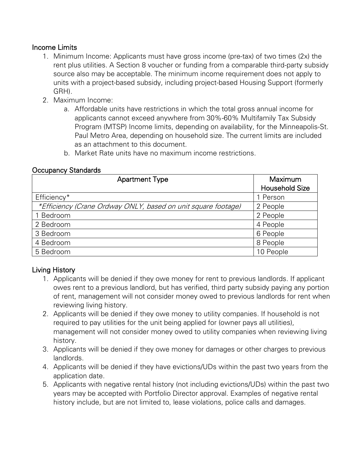#### Income Limits

- 1. Minimum Income: Applicants must have gross income (pre-tax) of two times (2x) the rent plus utilities. A Section 8 voucher or funding from a comparable third-party subsidy source also may be acceptable. The minimum income requirement does not apply to units with a project-based subsidy, including project-based Housing Support (formerly GRH).
- 2. Maximum Income:
	- a. Affordable units have restrictions in which the total gross annual income for applicants cannot exceed anywhere from 30%-60% Multifamily Tax Subsidy Program (MTSP) Income limits, depending on availability, for the Minneapolis-St. Paul Metro Area, depending on household size. The current limits are included as an attachment to this document.
	- b. Market Rate units have no maximum income restrictions.

#### Occupancy Standards

| <b>Apartment Type</b>                                         | Maximum<br><b>Household Size</b> |  |
|---------------------------------------------------------------|----------------------------------|--|
| Efficiency*                                                   | 1 Person                         |  |
| *Efficiency (Crane Ordway ONLY, based on unit square footage) | 2 People                         |  |
| Bedroom                                                       | 2 People                         |  |
| 2 Bedroom                                                     | 4 People                         |  |
| 3 Bedroom                                                     | 6 People                         |  |
| 4 Bedroom                                                     | 8 People                         |  |
| 5 Bedroom                                                     | 10 People                        |  |

## Living History

- 1. Applicants will be denied if they owe money for rent to previous landlords. If applicant owes rent to a previous landlord, but has verified, third party subsidy paying any portion of rent, management will not consider money owed to previous landlords for rent when reviewing living history.
- 2. Applicants will be denied if they owe money to utility companies. If household is not required to pay utilities for the unit being applied for (owner pays all utilities), management will not consider money owed to utility companies when reviewing living history.
- 3. Applicants will be denied if they owe money for damages or other charges to previous landlords.
- 4. Applicants will be denied if they have evictions/UDs within the past two years from the application date.
- 5. Applicants with negative rental history (not including evictions/UDs) within the past two years may be accepted with Portfolio Director approval. Examples of negative rental history include, but are not limited to, lease violations, police calls and damages.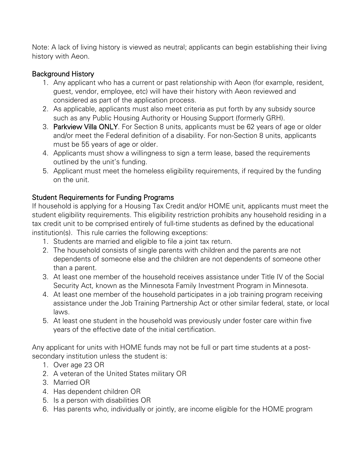Note: A lack of living history is viewed as neutral; applicants can begin establishing their living history with Aeon.

#### Background History

- 1. Any applicant who has a current or past relationship with Aeon (for example, resident, guest, vendor, employee, etc) will have their history with Aeon reviewed and considered as part of the application process.
- 2. As applicable, applicants must also meet criteria as put forth by any subsidy source such as any Public Housing Authority or Housing Support (formerly GRH).
- 3. Parkview Villa ONLY. For Section 8 units, applicants must be 62 years of age or older and/or meet the Federal definition of a disability. For non-Section 8 units, applicants must be 55 years of age or older.
- 4. Applicants must show a willingness to sign a term lease, based the requirements outlined by the unit's funding.
- 5. Applicant must meet the homeless eligibility requirements, if required by the funding on the unit.

## Student Requirements for Funding Programs

If household is applying for a Housing Tax Credit and/or HOME unit, applicants must meet the student eligibility requirements. This eligibility restriction prohibits any household residing in a tax credit unit to be comprised entirely of full-time students as defined by the educational institution(s). This rule carries the following exceptions:

- 1. Students are married and eligible to file a joint tax return.
- 2. The household consists of single parents with children and the parents are not dependents of someone else and the children are not dependents of someone other than a parent.
- 3. At least one member of the household receives assistance under Title IV of the Social Security Act, known as the Minnesota Family Investment Program in Minnesota.
- 4. At least one member of the household participates in a job training program receiving assistance under the Job Training Partnership Act or other similar federal, state, or local laws.
- 5. At least one student in the household was previously under foster care within five years of the effective date of the initial certification.

Any applicant for units with HOME funds may not be full or part time students at a postsecondary institution unless the student is:

- 1. Over age 23 OR
- 2. A veteran of the United States military OR
- 3. Married OR
- 4. Has dependent children OR
- 5. Is a person with disabilities OR
- 6. Has parents who, individually or jointly, are income eligible for the HOME program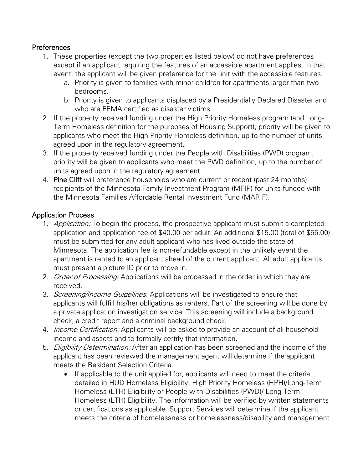#### **Preferences**

- 1. These properties (except the two properties listed below) do not have preferences except if an applicant requiring the features of an accessible apartment applies. In that event, the applicant will be given preference for the unit with the accessible features.
	- a. Priority is given to families with minor children for apartments larger than twobedrooms.
	- b. Priority is given to applicants displaced by a Presidentially Declared Disaster and who are FEMA certified as disaster victims.
- 2. If the property received funding under the High Priority Homeless program (and Long-Term Homeless definition for the purposes of Housing Support), priority will be given to applicants who meet the High Priority Homeless definition, up to the number of units agreed upon in the regulatory agreement.
- 3. If the property received funding under the People with Disabilities (PWD) program, priority will be given to applicants who meet the PWD definition, up to the number of units agreed upon in the regulatory agreement.
- 4. Pine Cliff will preference households who are current or recent (past 24 months) recipients of the Minnesota Family Investment Program (MFIP) for units funded with the Minnesota Families Affordable Rental Investment Fund (MARIF).

#### Application Process

- 1. Application: To begin the process, the prospective applicant must submit a completed application and application fee of \$40.00 per adult. An additional \$15.00 (total of \$55.00) must be submitted for any adult applicant who has lived outside the state of Minnesota. The application fee is non-refundable except in the unlikely event the apartment is rented to an applicant ahead of the current applicant. All adult applicants must present a picture ID prior to move in.
- 2. *Order of Processing:* Applications will be processed in the order in which they are received.
- 3. Screening/Income Guidelines: Applications will be investigated to ensure that applicants will fulfill his/her obligations as renters. Part of the screening will be done by a private application investigation service. This screening will include a background check, a credit report and a criminal background check.
- 4. *Income Certification:* Applicants will be asked to provide an account of all household income and assets and to formally certify that information.
- 5. *Eligibility Determination:* After an application has been screened and the income of the applicant has been reviewed the management agent will determine if the applicant meets the Resident Selection Criteria.
	- If applicable to the unit applied for, applicants will need to meet the criteria detailed in HUD Homeless Eligibility, High Priority Homeless (HPH)/Long-Term Homeless (LTH) Eligibility or People with Disabilities (PWD)/ Long-Term Homeless (LTH) Eligibility. The information will be verified by written statements or certifications as applicable. Support Services will determine if the applicant meets the criteria of homelessness or homelessness/disability and management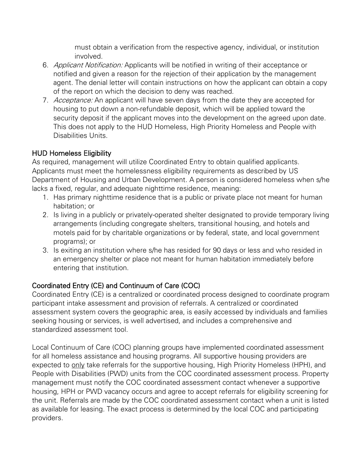must obtain a verification from the respective agency, individual, or institution involved.

- 6. Applicant Notification: Applicants will be notified in writing of their acceptance or notified and given a reason for the rejection of their application by the management agent. The denial letter will contain instructions on how the applicant can obtain a copy of the report on which the decision to deny was reached.
- 7. Acceptance: An applicant will have seven days from the date they are accepted for housing to put down a non-refundable deposit, which will be applied toward the security deposit if the applicant moves into the development on the agreed upon date. This does not apply to the HUD Homeless, High Priority Homeless and People with Disabilities Units.

# HUD Homeless Eligibility

As required, management will utilize Coordinated Entry to obtain qualified applicants. Applicants must meet the homelessness eligibility requirements as described by US Department of Housing and Urban Development. A person is considered homeless when s/he lacks a fixed, regular, and adequate nighttime residence, meaning:

- 1. Has primary nighttime residence that is a public or private place not meant for human habitation; or
- 2. Is living in a publicly or privately-operated shelter designated to provide temporary living arrangements (including congregate shelters, transitional housing, and hotels and motels paid for by charitable organizations or by federal, state, and local government programs); or
- 3. Is exiting an institution where s/he has resided for 90 days or less and who resided in an emergency shelter or place not meant for human habitation immediately before entering that institution.

# Coordinated Entry (CE) and Continuum of Care (COC)

Coordinated Entry (CE) is a centralized or coordinated process designed to coordinate program participant intake assessment and provision of referrals. A centralized or coordinated assessment system covers the geographic area, is easily accessed by individuals and families seeking housing or services, is well advertised, and includes a comprehensive and standardized assessment tool.

Local Continuum of Care (COC) planning groups have implemented coordinated assessment for all homeless assistance and housing programs. All supportive housing providers are expected to only take referrals for the supportive housing, High Priority Homeless (HPH), and People with Disabilities (PWD) units from the COC coordinated assessment process. Property management must notify the COC coordinated assessment contact whenever a supportive housing, HPH or PWD vacancy occurs and agree to accept referrals for eligibility screening for the unit. Referrals are made by the COC coordinated assessment contact when a unit is listed as available for leasing. The exact process is determined by the local COC and participating providers.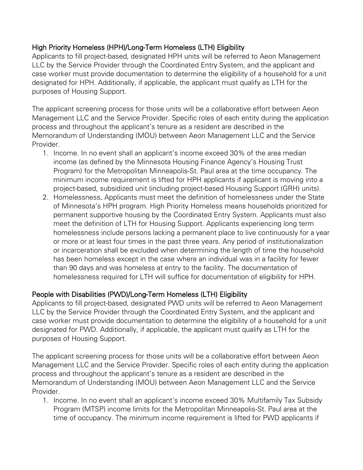## High Priority Homeless (HPH)/Long-Term Homeless (LTH) Eligibility

Applicants to fill project-based, designated HPH units will be referred to Aeon Management LLC by the Service Provider through the Coordinated Entry System, and the applicant and case worker must provide documentation to determine the eligibility of a household for a unit designated for HPH. Additionally, if applicable, the applicant must qualify as LTH for the purposes of Housing Support.

The applicant screening process for those units will be a collaborative effort between Aeon Management LLC and the Service Provider. Specific roles of each entity during the application process and throughout the applicant's tenure as a resident are described in the Memorandum of Understanding (MOU) between Aeon Management LLC and the Service Provider.

- 1. Income. In no event shall an applicant's income exceed 30% of the area median income (as defined by the Minnesota Housing Finance Agency's Housing Trust Program) for the Metropolitan Minneapolis-St. Paul area at the time occupancy. The minimum income requirement is lifted for HPH applicants if applicant is moving into a project-based, subsidized unit (including project-based Housing Support (GRH) units).
- 2. Homelessness. Applicants must meet the definition of homelessness under the State of Minnesota's HPH program. High Priority Homeless means households prioritized for permanent supportive housing by the Coordinated Entry System. Applicants must also meet the definition of LTH for Housing Support. Applicants experiencing long term homelessness include persons lacking a permanent place to live continuously for a year or more or at least four times in the past three years. Any period of institutionalization or incarceration shall be excluded when determining the length of time the household has been homeless except in the case where an individual was in a facility for fewer than 90 days and was homeless at entry to the facility. The documentation of homelessness required for LTH will suffice for documentation of eligibility for HPH.

## People with Disabilities (PWD)/Long-Term Homeless (LTH) Eligibility

Applicants to fill project-based, designated PWD units will be referred to Aeon Management LLC by the Service Provider through the Coordinated Entry System, and the applicant and case worker must provide documentation to determine the eligibility of a household for a unit designated for PWD. Additionally, if applicable, the applicant must qualify as LTH for the purposes of Housing Support.

The applicant screening process for those units will be a collaborative effort between Aeon Management LLC and the Service Provider. Specific roles of each entity during the application process and throughout the applicant's tenure as a resident are described in the Memorandum of Understanding (MOU) between Aeon Management LLC and the Service Provider.

1. Income. In no event shall an applicant's income exceed 30% Multifamily Tax Subsidy Program (MTSP) income limits for the Metropolitan Minneapolis-St. Paul area at the time of occupancy. The minimum income requirement is lifted for PWD applicants if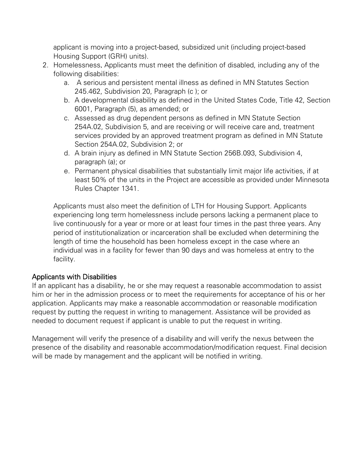applicant is moving into a project-based, subsidized unit (including project-based Housing Support (GRH) units).

- 2. Homelessness. Applicants must meet the definition of disabled, including any of the following disabilities:
	- a. A serious and persistent mental illness as defined in MN Statutes Section 245.462, Subdivision 20, Paragraph (c ); or
	- b. A developmental disability as defined in the United States Code, Title 42, Section 6001, Paragraph (5), as amended; or
	- c. Assessed as drug dependent persons as defined in MN Statute Section 254A.02, Subdivision 5, and are receiving or will receive care and, treatment services provided by an approved treatment program as defined in MN Statute Section 254A.02, Subdivision 2; or
	- d. A brain injury as defined in MN Statute Section 256B.093, Subdivision 4, paragraph (a); or
	- e. Permanent physical disabilities that substantially limit major life activities, if at least 50% of the units in the Project are accessible as provided under Minnesota Rules Chapter 1341.

Applicants must also meet the definition of LTH for Housing Support. Applicants experiencing long term homelessness include persons lacking a permanent place to live continuously for a year or more or at least four times in the past three years. Any period of institutionalization or incarceration shall be excluded when determining the length of time the household has been homeless except in the case where an individual was in a facility for fewer than 90 days and was homeless at entry to the facility.

## Applicants with Disabilities

If an applicant has a disability, he or she may request a reasonable accommodation to assist him or her in the admission process or to meet the requirements for acceptance of his or her application. Applicants may make a reasonable accommodation or reasonable modification request by putting the request in writing to management. Assistance will be provided as needed to document request if applicant is unable to put the request in writing.

Management will verify the presence of a disability and will verify the nexus between the presence of the disability and reasonable accommodation/modification request. Final decision will be made by management and the applicant will be notified in writing.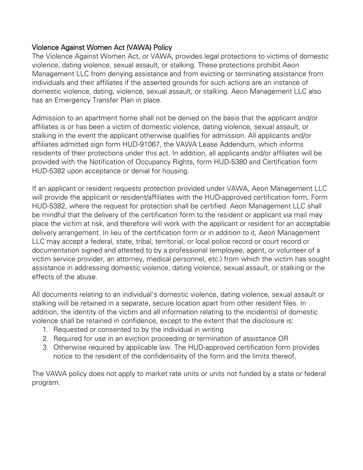#### Violence Against Women Act (VAWA) Policy

The Violence Against Women Act, or VAWA, provides legal protections to victims of domestic violence, dating violence, sexual assault, or stalking. These protections prohibit Aeon Management LLC from denying assistance and from evicting or terminating assistance from individuals and their affiliates if the asserted grounds for such actions are an instance of domestic violence, dating, violence, sexual assault, or stalking. Aeon Management LLC also has an Emergency Transfer Plan in place.

Admission to an apartment home shall not be denied on the basis that the applicant and/or affiliates is or has been a victim of domestic violence, dating violence, sexual assault, or stalking in the event the applicant otherwise qualifies for admission. All applicants and/or affiliates admitted sign form HUD-91067, the VAWA Lease Addendum, which informs residents of their protections under this act. In addition, all applicants and/or affiliates will be provided with the Notification of Occupancy Rights, form HUD-5380 and Certification form HUD-5382 upon acceptance or denial for housing.

If an applicant or resident requests protection provided under VAWA, Aeon Management LLC will provide the applicant or resident/affiliates with the HUD-approved certification form, Form HUD-5382, where the request for protection shall be certified. Aeon Management LLC shall be mindful that the delivery of the certification form to the resident or applicant via mail may place the victim at risk, and therefore will work with the applicant or resident for an acceptable delivery arrangement. In lieu of the certification form or in addition to it, Aeon Management LLC may accept a federal, state, tribal, territorial, or local police record or court record or documentation signed and attested to by a professional (employee, agent, or volunteer of a victim service provider, an attorney, medical personnel, etc.) from which the victim has sought assistance in addressing domestic violence, dating violence, sexual assault, or stalking or the effects of the abuse.

All documents relating to an individual's domestic violence, dating violence, sexual assault or stalking will be retained in a separate, secure location apart from other resident files. In addition, the identity of the victim and all information relating to the incident(s) of domestic violence shall be retained in confidence, except to the extent that the disclosure is:

- 1. Requested or consented to by the individual in writing
- 2. Required for use in an eviction proceeding or termination of assistance OR
- 3. Otherwise required by applicable law. The HUD-approved certification form provides notice to the resident of the confidentiality of the form and the limits thereof.

The VAWA policy does not apply to market rate units or units not funded by a state or federal program.